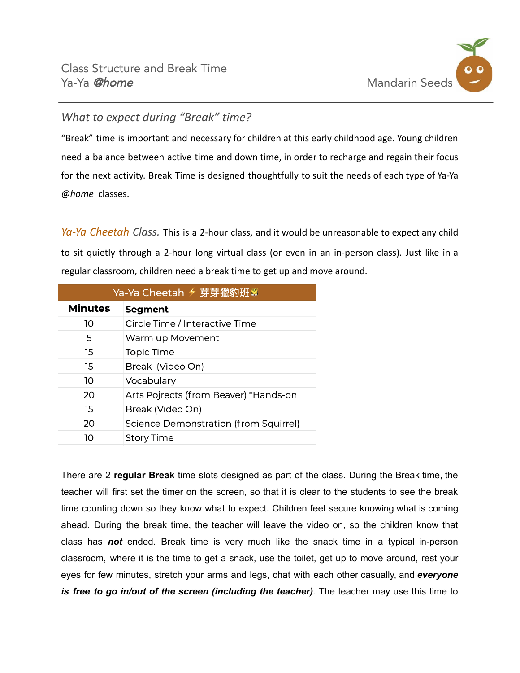

## *What to expect during "Break" time?*

"Break" time is important and necessary for children at this early childhood age. Young children need a balance between active time and down time, in order to recharge and regain their focus for the next activity. Break Time is designed thoughtfully to suit the needs of each type of Ya-Ya *@home* classes.

*Ya-Ya Cheetah Class.* This is a 2-hour class, and it would be unreasonable to expect any child to sit quietly through a 2-hour long virtual class (or even in an in-person class). Just like in a regular classroom, children need a break time to get up and move around.

| Ya-Ya Cheetah <del>ヶ芽</del> 芽獵豹班 |                                       |  |
|----------------------------------|---------------------------------------|--|
| <b>Minutes</b>                   | <b>Segment</b>                        |  |
| 10                               | Circle Time / Interactive Time        |  |
| 5                                | Warm up Movement                      |  |
| 15                               | <b>Topic Time</b>                     |  |
| 15                               | Break (Video On)                      |  |
| 10                               | Vocabulary                            |  |
| 20                               | Arts Pojrects (from Beaver) *Hands-on |  |
| 15                               | Break (Video On)                      |  |
| 20                               | Science Demonstration (from Squirrel) |  |
| 10                               | <b>Story Time</b>                     |  |

There are 2 **regular Break** time slots designed as part of the class. During the Break time, the teacher will first set the timer on the screen, so that it is clear to the students to see the break time counting down so they know what to expect. Children feel secure knowing what is coming ahead. During the break time, the teacher will leave the video on, so the children know that class has *not* ended. Break time is very much like the snack time in a typical in-person classroom, where it is the time to get a snack, use the toilet, get up to move around, rest your eyes for few minutes, stretch your arms and legs, chat with each other casually, and *everyone is free to go in/out of the screen (including the teacher)*. The teacher may use this time to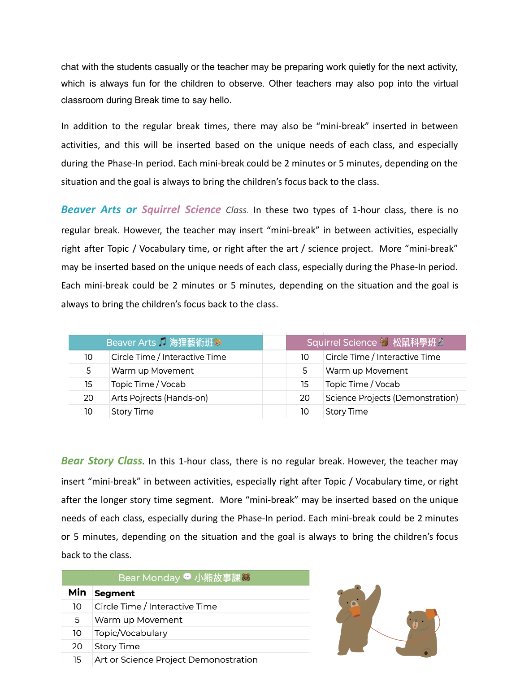chat with the students casually or the teacher may be preparing work quietly for the next activity, which is always fun for the children to observe. Other teachers may also pop into the virtual classroom during Break time to say hello.

In addition to the regular break times, there may also be "mini-break" inserted in between activities, and this will be inserted based on the unique needs of each class, and especially during the Phase-In period. Each mini-break could be 2 minutes or 5 minutes, depending on the situation and the goal is always to bring the children's focus back to the class.

*Beaver Arts or Squirrel Science Class.* In these two types of 1-hour class, there is no regular break. However, the teacher may insert "mini-break" in between activities, especially right after Topic / Vocabulary time, or right after the art / science project. More "mini-break" may be inserted based on the unique needs of each class, especially during the Phase-In period. Each mini-break could be 2 minutes or 5 minutes, depending on the situation and the goal is always to bring the children's focus back to the class.

| Beaver Arts 1 海狸藝術班3 |                                | Squirrel Science 创 松鼠科學班分 |                                  |
|----------------------|--------------------------------|---------------------------|----------------------------------|
| 10                   | Circle Time / Interactive Time | 10                        | Circle Time / Interactive Time   |
| 5.                   | Warm up Movement               | 5                         | Warm up Movement                 |
| 15                   | Topic Time / Vocab             | 15                        | Topic Time / Vocab               |
| 20                   | Arts Pojrects (Hands-on)       | 20                        | Science Projects (Demonstration) |
| 10                   | <b>Story Time</b>              | 10                        | <b>Story Time</b>                |

*Bear Story Class.* In this 1-hour class, there is no regular break. However, the teacher may insert "mini-break" in between activities, especially right after Topic / Vocabulary time, or right after the longer story time segment. More "mini-break" may be inserted based on the unique needs of each class, especially during the Phase-In period. Each mini-break could be 2 minutes or 5 minutes, depending on the situation and the goal is always to bring the children's focus back to the class.

| Bear Monday 的小熊故事課3 |                                       |  |  |  |
|---------------------|---------------------------------------|--|--|--|
| Min                 | <b>Segment</b>                        |  |  |  |
| 10                  | Circle Time / Interactive Time        |  |  |  |
| 5                   | Warm up Movement                      |  |  |  |
| 10                  | Topic/Vocabulary                      |  |  |  |
| 20                  | <b>Story Time</b>                     |  |  |  |
| 15                  | Art or Science Project Demonostration |  |  |  |